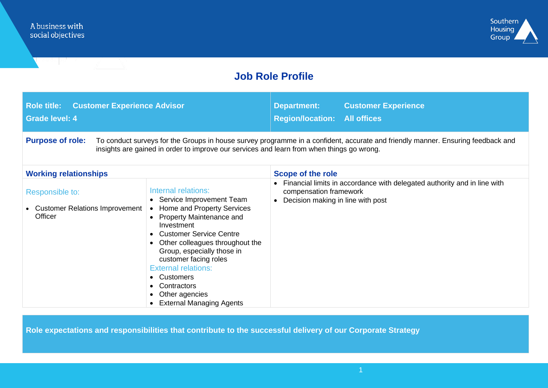

## **Job Role Profile**

| <b>Role title: Customer Experience Advisor</b><br><b>Grade level: 4</b>                                                                                                                                                                                 |                                                                                                                                                                                                                                                                                                                                                                              | <b>Department:</b><br><b>Region/location: All offices</b>   | <b>Customer Experience</b>                                               |  |
|---------------------------------------------------------------------------------------------------------------------------------------------------------------------------------------------------------------------------------------------------------|------------------------------------------------------------------------------------------------------------------------------------------------------------------------------------------------------------------------------------------------------------------------------------------------------------------------------------------------------------------------------|-------------------------------------------------------------|--------------------------------------------------------------------------|--|
| <b>Purpose of role:</b><br>To conduct surveys for the Groups in house survey programme in a confident, accurate and friendly manner. Ensuring feedback and<br>insights are gained in order to improve our services and learn from when things go wrong. |                                                                                                                                                                                                                                                                                                                                                                              |                                                             |                                                                          |  |
| <b>Working relationships</b>                                                                                                                                                                                                                            |                                                                                                                                                                                                                                                                                                                                                                              | <b>Scope of the role</b>                                    |                                                                          |  |
| Responsible to:<br><b>Customer Relations Improvement</b><br>Officer                                                                                                                                                                                     | Internal relations:<br>• Service Improvement Team<br>• Home and Property Services<br><b>Property Maintenance and</b><br>Investment<br>• Customer Service Centre<br>Other colleagues throughout the<br>Group, especially those in<br>customer facing roles<br><b>External relations:</b><br>• Customers<br>• Contractors<br>Other agencies<br><b>External Managing Agents</b> | compensation framework<br>Decision making in line with post | Financial limits in accordance with delegated authority and in line with |  |

**Role expectations and responsibilities that contribute to the successful delivery of our Corporate Strategy**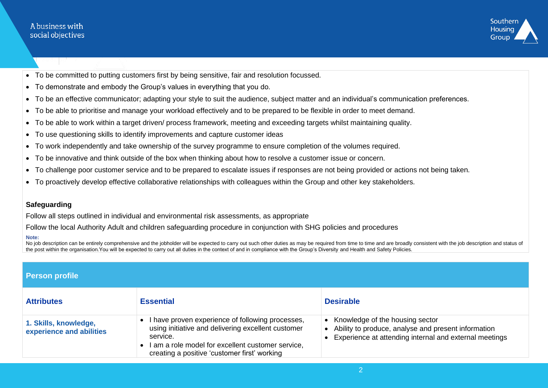## A business with social objectives



- To be committed to putting customers first by being sensitive, fair and resolution focussed.
- To demonstrate and embody the Group's values in everything that you do.
- To be an effective communicator; adapting your style to suit the audience, subject matter and an individual's communication preferences.
- To be able to prioritise and manage your workload effectively and to be prepared to be flexible in order to meet demand.
- To be able to work within a target driven/ process framework, meeting and exceeding targets whilst maintaining quality.
- To use questioning skills to identify improvements and capture customer ideas
- To work independently and take ownership of the survey programme to ensure completion of the volumes required.
- To be innovative and think outside of the box when thinking about how to resolve a customer issue or concern.
- To challenge poor customer service and to be prepared to escalate issues if responses are not being provided or actions not being taken.
- To proactively develop effective collaborative relationships with colleagues within the Group and other key stakeholders.

## **Safeguarding**

Follow all steps outlined in individual and environmental risk assessments, as appropriate

Follow the local Authority Adult and children safeguarding procedure in conjunction with SHG policies and procedures

## **Note:**

No job description can be entirely comprehensive and the jobholder will be expected to carry out such other duties as may be required from time to time and are broadly consistent with the job description and status of the post within the organisation.You will be expected to carry out all duties in the context of and in compliance with the Group's Diversity and Health and Safety Policies.

| Person profile                                    |                                                                                                                                                                                                                                      |                                                                                                                                                      |  |  |
|---------------------------------------------------|--------------------------------------------------------------------------------------------------------------------------------------------------------------------------------------------------------------------------------------|------------------------------------------------------------------------------------------------------------------------------------------------------|--|--|
| <b>Attributes</b>                                 | <b>Essential</b>                                                                                                                                                                                                                     | <b>Desirable</b>                                                                                                                                     |  |  |
| 1. Skills, knowledge,<br>experience and abilities | I have proven experience of following processes,<br>$\bullet$<br>using initiative and delivering excellent customer<br>service.<br>I am a role model for excellent customer service,<br>creating a positive 'customer first' working | • Knowledge of the housing sector<br>• Ability to produce, analyse and present information<br>Experience at attending internal and external meetings |  |  |